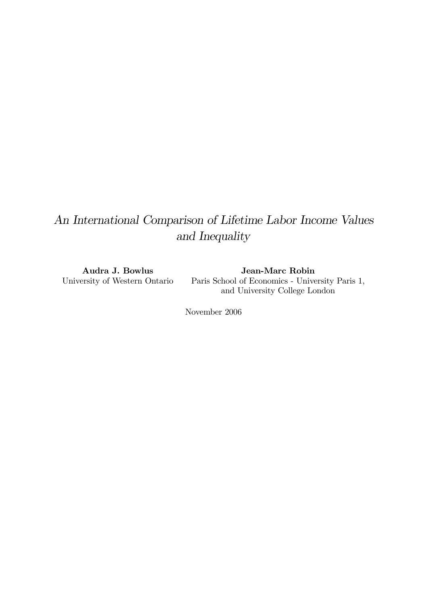# An International Comparison of Lifetime Labor Income Values and Inequality

Audra J. Bowlus University of Western Ontario

Jean-Marc Robin Paris School of Economics - University Paris 1, and University College London

November 2006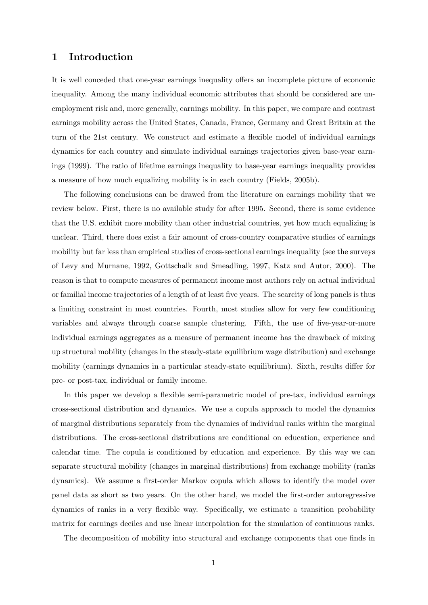## 1 Introduction

It is well conceded that one-year earnings inequality offers an incomplete picture of economic inequality. Among the many individual economic attributes that should be considered are unemployment risk and, more generally, earnings mobility. In this paper, we compare and contrast earnings mobility across the United States, Canada, France, Germany and Great Britain at the turn of the 21st century. We construct and estimate a flexible model of individual earnings dynamics for each country and simulate individual earnings trajectories given base-year earnings (1999). The ratio of lifetime earnings inequality to base-year earnings inequality provides a measure of how much equalizing mobility is in each country (Fields, 2005b).

The following conclusions can be drawed from the literature on earnings mobility that we review below. First, there is no available study for after 1995. Second, there is some evidence that the U.S. exhibit more mobility than other industrial countries, yet how much equalizing is unclear. Third, there does exist a fair amount of cross-country comparative studies of earnings mobility but far less than empirical studies of cross-sectional earnings inequality (see the surveys of Levy and Murnane, 1992, Gottschalk and Smeadling, 1997, Katz and Autor, 2000). The reason is that to compute measures of permanent income most authors rely on actual individual or familial income trajectories of a length of at least Öve years. The scarcity of long panels is thus a limiting constraint in most countries. Fourth, most studies allow for very few conditioning variables and always through coarse sample clustering. Fifth, the use of five-year-or-more individual earnings aggregates as a measure of permanent income has the drawback of mixing up structural mobility (changes in the steady-state equilibrium wage distribution) and exchange mobility (earnings dynamics in a particular steady-state equilibrium). Sixth, results differ for pre- or post-tax, individual or family income.

In this paper we develop a flexible semi-parametric model of pre-tax, individual earnings cross-sectional distribution and dynamics. We use a copula approach to model the dynamics of marginal distributions separately from the dynamics of individual ranks within the marginal distributions. The cross-sectional distributions are conditional on education, experience and calendar time. The copula is conditioned by education and experience. By this way we can separate structural mobility (changes in marginal distributions) from exchange mobility (ranks dynamics). We assume a first-order Markov copula which allows to identify the model over panel data as short as two years. On the other hand, we model the Örst-order autoregressive dynamics of ranks in a very flexible way. Specifically, we estimate a transition probability matrix for earnings deciles and use linear interpolation for the simulation of continuous ranks.

The decomposition of mobility into structural and exchange components that one finds in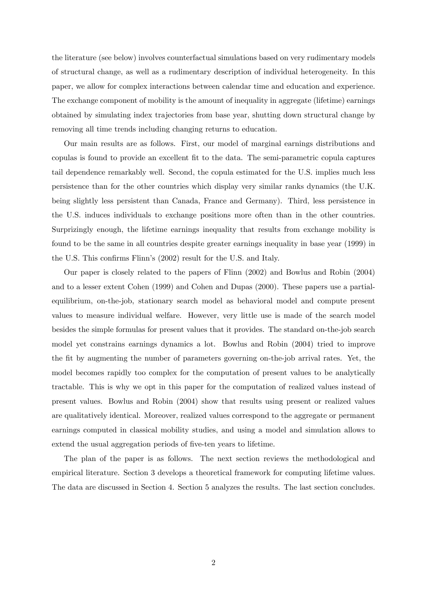the literature (see below) involves counterfactual simulations based on very rudimentary models of structural change, as well as a rudimentary description of individual heterogeneity. In this paper, we allow for complex interactions between calendar time and education and experience. The exchange component of mobility is the amount of inequality in aggregate (lifetime) earnings obtained by simulating index trajectories from base year, shutting down structural change by removing all time trends including changing returns to education.

Our main results are as follows. First, our model of marginal earnings distributions and copulas is found to provide an excellent Öt to the data. The semi-parametric copula captures tail dependence remarkably well. Second, the copula estimated for the U.S. implies much less persistence than for the other countries which display very similar ranks dynamics (the U.K. being slightly less persistent than Canada, France and Germany). Third, less persistence in the U.S. induces individuals to exchange positions more often than in the other countries. Surprizingly enough, the lifetime earnings inequality that results from exchange mobility is found to be the same in all countries despite greater earnings inequality in base year (1999) in the U.S. This confirms Flinn's (2002) result for the U.S. and Italy.

Our paper is closely related to the papers of Flinn (2002) and Bowlus and Robin (2004) and to a lesser extent Cohen (1999) and Cohen and Dupas (2000). These papers use a partialequilibrium, on-the-job, stationary search model as behavioral model and compute present values to measure individual welfare. However, very little use is made of the search model besides the simple formulas for present values that it provides. The standard on-the-job search model yet constrains earnings dynamics a lot. Bowlus and Robin (2004) tried to improve the Öt by augmenting the number of parameters governing on-the-job arrival rates. Yet, the model becomes rapidly too complex for the computation of present values to be analytically tractable. This is why we opt in this paper for the computation of realized values instead of present values. Bowlus and Robin (2004) show that results using present or realized values are qualitatively identical. Moreover, realized values correspond to the aggregate or permanent earnings computed in classical mobility studies, and using a model and simulation allows to extend the usual aggregation periods of five-ten years to lifetime.

The plan of the paper is as follows. The next section reviews the methodological and empirical literature. Section 3 develops a theoretical framework for computing lifetime values. The data are discussed in Section 4. Section 5 analyzes the results. The last section concludes.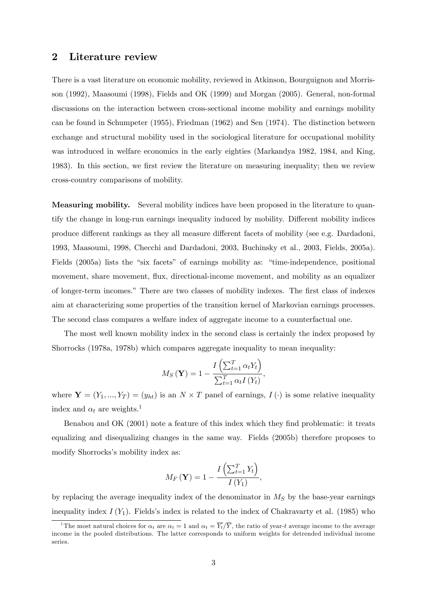## 2 Literature review

There is a vast literature on economic mobility, reviewed in Atkinson, Bourguignon and Morrisson (1992), Maasoumi (1998), Fields and OK (1999) and Morgan (2005). General, non-formal discussions on the interaction between cross-sectional income mobility and earnings mobility can be found in Schumpeter (1955), Friedman (1962) and Sen (1974). The distinction between exchange and structural mobility used in the sociological literature for occupational mobility was introduced in welfare economics in the early eighties (Markandya 1982, 1984, and King, 1983). In this section, we first review the literature on measuring inequality; then we review cross-country comparisons of mobility.

Measuring mobility. Several mobility indices have been proposed in the literature to quantify the change in long-run earnings inequality induced by mobility. Different mobility indices produce different rankings as they all measure different facets of mobility (see e.g. Dardadoni, 1993, Maasoumi, 1998, Checchi and Dardadoni, 2003, Buchinsky et al., 2003, Fields, 2005a). Fields (2005a) lists the "six facets" of earnings mobility as: "time-independence, positional movement, share movement, flux, directional-income movement, and mobility as an equalizer of longer-term incomes." There are two classes of mobility indexes. The first class of indexes aim at characterizing some properties of the transition kernel of Markovian earnings processes. The second class compares a welfare index of aggregate income to a counterfactual one.

The most well known mobility index in the second class is certainly the index proposed by Shorrocks (1978a, 1978b) which compares aggregate inequality to mean inequality:

$$
M_S\left(\mathbf{Y}\right) = 1 - \frac{I\left(\sum_{t=1}^T \alpha_t Y_t\right)}{\sum_{t=1}^T \alpha_t I\left(Y_t\right)},
$$

where  $\mathbf{Y} = (Y_1, ..., Y_T) = (y_{ht})$  is an  $N \times T$  panel of earnings,  $I(\cdot)$  is some relative inequality index and  $\alpha_t$  are weights.<sup>1</sup>

Benabou and OK (2001) note a feature of this index which they find problematic: it treats equalizing and disequalizing changes in the same way. Fields (2005b) therefore proposes to modify Shorrocks's mobility index as:

$$
M_F(\mathbf{Y}) = 1 - \frac{I\left(\sum_{t=1}^T Y_t\right)}{I\left(Y_1\right)},
$$

by replacing the average inequality index of the denominator in  $M<sub>S</sub>$  by the base-year earnings inequality index  $I(Y_1)$ . Fields's index is related to the index of Chakravarty et al. (1985) who

<sup>&</sup>lt;sup>1</sup>The most natural choices for  $\alpha_t$  are  $\alpha_t = 1$  and  $\alpha_t = \overline{Y}_t/\overline{Y}$ , the ratio of year-t average income to the average income in the pooled distributions. The latter corresponds to uniform weights for detrended individual income series.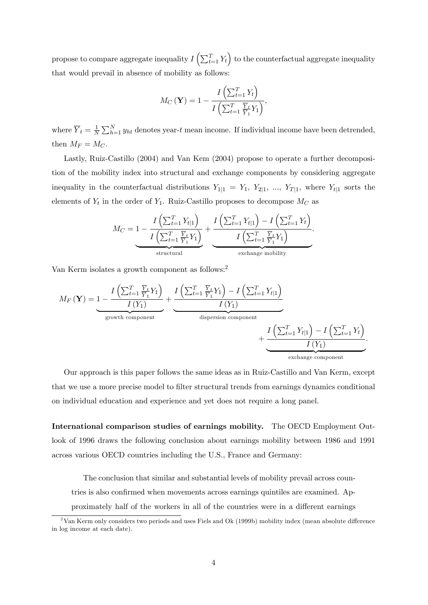propose to compare aggregate inequality  $I\left(\sum_{t=1}^T Y_t\right)$  to the counterfactual aggregate inequality that would prevail in absence of mobility as follows:

$$
M_C\left(\mathbf{Y}\right) = 1 - \frac{I\left(\sum_{t=1}^T Y_t\right)}{I\left(\sum_{t=1}^T \frac{\overline{Y}_t}{\overline{Y}_1} Y_1\right)},
$$

where  $\overline{Y}_t = \frac{1}{N}$  $\frac{1}{N} \sum_{h=1}^{N} y_{ht}$  denotes year-t mean income. If individual income have been detrended, then  $M_F = M_C$ .

Lastly, Ruiz-Castillo (2004) and Van Kem (2004) propose to operate a further decomposition of the mobility index into structural and exchange components by considering aggregate inequality in the counterfactual distributions  $Y_{1|1} = Y_1, Y_{2|1}, ..., Y_{T|1}$ , where  $Y_{t|1}$  sorts the elements of  $Y_t$  in the order of  $Y_1$ . Ruiz-Castillo proposes to decompose  $M_C$  as

$$
M_C = 1 - \frac{I\left(\sum_{t=1}^T Y_{t|1}\right)}{I\left(\sum_{t=1}^T \frac{\overline{Y}_t}{\overline{Y}_1} Y_1\right)} + \frac{I\left(\sum_{t=1}^T Y_{t|1}\right) - I\left(\sum_{t=1}^T Y_t\right)}{I\left(\sum_{t=1}^T \frac{\overline{Y}_t}{\overline{Y}_1} Y_1\right)}.
$$
  
 
$$
\underbrace{\hspace{2cm}}_{\text{structural}}
$$

Van Kerm isolates a growth component as follows:<sup>2</sup>

$$
M_F(\mathbf{Y}) = 1 - \frac{I\left(\sum_{t=1}^T \frac{\overline{Y}_t}{\overline{Y}_1} Y_1\right)}{I(Y_1)} + \frac{I\left(\sum_{t=1}^T \frac{\overline{Y}_t}{\overline{Y}_1} Y_1\right) - I\left(\sum_{t=1}^T Y_{t|1}\right)}{I(Y_1)} + \frac{I\left(\sum_{t=1}^T Y_{t|1}\right) - I\left(\sum_{t=1}^T Y_t\right)}{I(Y_1)} + \frac{I\left(\sum_{t=1}^T Y_{t|1}\right) - I\left(\sum_{t=1}^T Y_t\right)}{I(Y_1)}.
$$

Our approach is this paper follows the same ideas as in Ruiz-Castillo and Van Kerm, except that we use a more precise model to filter structural trends from earnings dynamics conditional on individual education and experience and yet does not require a long panel.

International comparison studies of earnings mobility. The OECD Employment Outlook of 1996 draws the following conclusion about earnings mobility between 1986 and 1991 across various OECD countries including the U.S., France and Germany:

The conclusion that similar and substantial levels of mobility prevail across countries is also confirmed when movements across earnings quintiles are examined. Approximately half of the workers in all of the countries were in a different earnings

 $^{2}$ Van Kerm only considers two periods and uses Fiels and Ok (1999b) mobility index (mean absolute difference in log income at each date).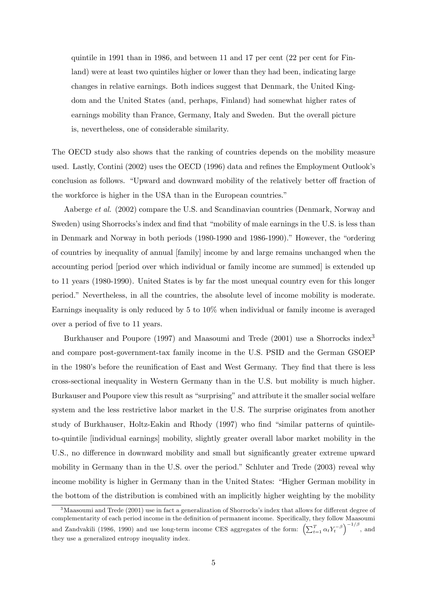quintile in 1991 than in 1986, and between 11 and 17 per cent (22 per cent for Finland) were at least two quintiles higher or lower than they had been, indicating large changes in relative earnings. Both indices suggest that Denmark, the United Kingdom and the United States (and, perhaps, Finland) had somewhat higher rates of earnings mobility than France, Germany, Italy and Sweden. But the overall picture is, nevertheless, one of considerable similarity.

The OECD study also shows that the ranking of countries depends on the mobility measure used. Lastly, Contini (2002) uses the OECD (1996) data and refines the Employment Outlook's conclusion as follows. "Upward and downward mobility of the relatively better off fraction of the workforce is higher in the USA than in the European countries."

Aaberge et al. (2002) compare the U.S. and Scandinavian countries (Denmark, Norway and Sweden) using Shorrocks's index and find that "mobility of male earnings in the U.S. is less than in Denmark and Norway in both periods (1980-1990 and 1986-1990)." However, the "ordering of countries by inequality of annual [family] income by and large remains unchanged when the accounting period [period over which individual or family income are summed] is extended up to 11 years (1980-1990). United States is by far the most unequal country even for this longer period.î Nevertheless, in all the countries, the absolute level of income mobility is moderate. Earnings inequality is only reduced by 5 to 10% when individual or family income is averaged over a period of five to 11 years.

Burkhauser and Poupore (1997) and Maasoumi and Trede (2001) use a Shorrocks index<sup>3</sup> and compare post-government-tax family income in the U.S. PSID and the German GSOEP in the 1980's before the reunification of East and West Germany. They find that there is less cross-sectional inequality in Western Germany than in the U.S. but mobility is much higher. Burkauser and Poupore view this result as "surprising" and attribute it the smaller social welfare system and the less restrictive labor market in the U.S. The surprise originates from another study of Burkhauser, Holtz-Eakin and Rhody (1997) who find "similar patterns of quintileto-quintile [individual earnings] mobility, slightly greater overall labor market mobility in the U.S., no difference in downward mobility and small but significantly greater extreme upward mobility in Germany than in the U.S. over the period." Schluter and Trede (2003) reveal why income mobility is higher in Germany than in the United States: "Higher German mobility in the bottom of the distribution is combined with an implicitly higher weighting by the mobility

 $3$ Maasoumi and Trede (2001) use in fact a generalization of Shorrocks's index that allows for different degree of complementarity of each period income in the definition of permanent income. Specifically, they follow Maasoumi and Zandvakili (1986, 1990) and use long-term income CES aggregates of the form:  $\left(\sum_{t=1}^T \alpha_t Y_t^{-\beta}\right)^{-1/\beta}$ , and they use a generalized entropy inequality index.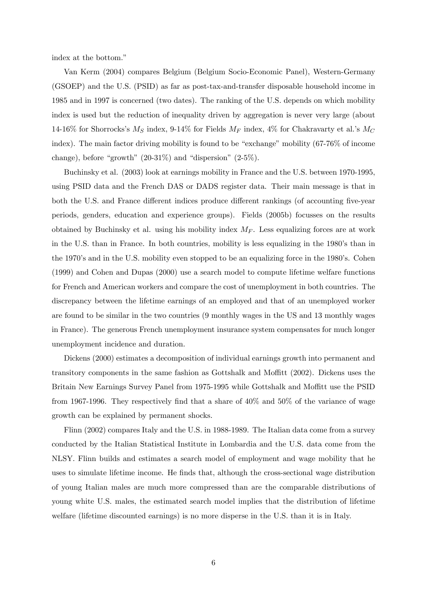index at the bottom."

Van Kerm (2004) compares Belgium (Belgium Socio-Economic Panel), Western-Germany (GSOEP) and the U.S. (PSID) as far as post-tax-and-transfer disposable household income in 1985 and in 1997 is concerned (two dates). The ranking of the U.S. depends on which mobility index is used but the reduction of inequality driven by aggregation is never very large (about 14-16% for Shorrocks's  $M_S$  index, 9-14% for Fields  $M_F$  index, 4% for Chakravarty et al.'s  $M_C$ index). The main factor driving mobility is found to be "exchange" mobility  $(67-76\% \text{ of income})$ change), before "growth"  $(20-31\%)$  and "dispersion"  $(2-5\%)$ .

Buchinsky et al. (2003) look at earnings mobility in France and the U.S. between 1970-1995, using PSID data and the French DAS or DADS register data. Their main message is that in both the U.S. and France different indices produce different rankings (of accounting five-year periods, genders, education and experience groups). Fields (2005b) focusses on the results obtained by Buchinsky et al. using his mobility index  $M_F$ . Less equalizing forces are at work in the U.S. than in France. In both countries, mobility is less equalizing in the 1980's than in the 1970's and in the U.S. mobility even stopped to be an equalizing force in the 1980's. Cohen (1999) and Cohen and Dupas (2000) use a search model to compute lifetime welfare functions for French and American workers and compare the cost of unemployment in both countries. The discrepancy between the lifetime earnings of an employed and that of an unemployed worker are found to be similar in the two countries (9 monthly wages in the US and 13 monthly wages in France). The generous French unemployment insurance system compensates for much longer unemployment incidence and duration.

Dickens (2000) estimates a decomposition of individual earnings growth into permanent and transitory components in the same fashion as Gottshalk and Moffitt (2002). Dickens uses the Britain New Earnings Survey Panel from 1975-1995 while Gottshalk and Moffitt use the PSID from 1967-1996. They respectively find that a share of  $40\%$  and  $50\%$  of the variance of wage growth can be explained by permanent shocks.

Flinn (2002) compares Italy and the U.S. in 1988-1989. The Italian data come from a survey conducted by the Italian Statistical Institute in Lombardia and the U.S. data come from the NLSY. Flinn builds and estimates a search model of employment and wage mobility that he uses to simulate lifetime income. He finds that, although the cross-sectional wage distribution of young Italian males are much more compressed than are the comparable distributions of young white U.S. males, the estimated search model implies that the distribution of lifetime welfare (lifetime discounted earnings) is no more disperse in the U.S. than it is in Italy.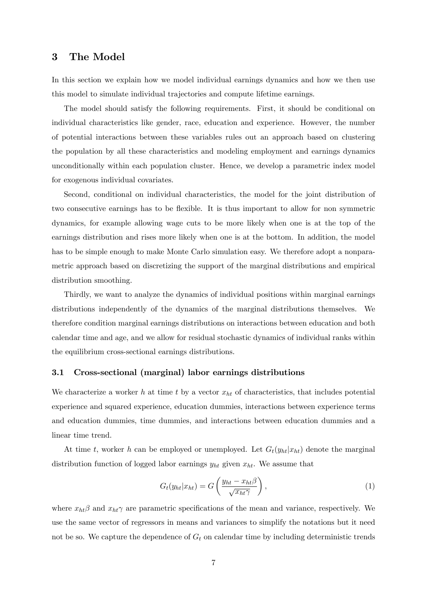## 3 The Model

In this section we explain how we model individual earnings dynamics and how we then use this model to simulate individual trajectories and compute lifetime earnings.

The model should satisfy the following requirements. First, it should be conditional on individual characteristics like gender, race, education and experience. However, the number of potential interactions between these variables rules out an approach based on clustering the population by all these characteristics and modeling employment and earnings dynamics unconditionally within each population cluster. Hence, we develop a parametric index model for exogenous individual covariates.

Second, conditional on individual characteristics, the model for the joint distribution of two consecutive earnings has to be flexible. It is thus important to allow for non symmetric dynamics, for example allowing wage cuts to be more likely when one is at the top of the earnings distribution and rises more likely when one is at the bottom. In addition, the model has to be simple enough to make Monte Carlo simulation easy. We therefore adopt a nonparametric approach based on discretizing the support of the marginal distributions and empirical distribution smoothing.

Thirdly, we want to analyze the dynamics of individual positions within marginal earnings distributions independently of the dynamics of the marginal distributions themselves. We therefore condition marginal earnings distributions on interactions between education and both calendar time and age, and we allow for residual stochastic dynamics of individual ranks within the equilibrium cross-sectional earnings distributions.

#### 3.1 Cross-sectional (marginal) labor earnings distributions

We characterize a worker h at time t by a vector  $x_{ht}$  of characteristics, that includes potential experience and squared experience, education dummies, interactions between experience terms and education dummies, time dummies, and interactions between education dummies and a linear time trend.

At time t, worker h can be employed or unemployed. Let  $G_t(y_{ht}|x_{ht})$  denote the marginal distribution function of logged labor earnings  $y_{ht}$  given  $x_{ht}$ . We assume that

$$
G_t(y_{ht}|x_{ht}) = G\left(\frac{y_{ht} - x_{ht}\beta}{\sqrt{x_{ht}\gamma}}\right),\tag{1}
$$

where  $x_{ht}\beta$  and  $x_{ht}\gamma$  are parametric specifications of the mean and variance, respectively. We use the same vector of regressors in means and variances to simplify the notations but it need not be so. We capture the dependence of  $G_t$  on calendar time by including deterministic trends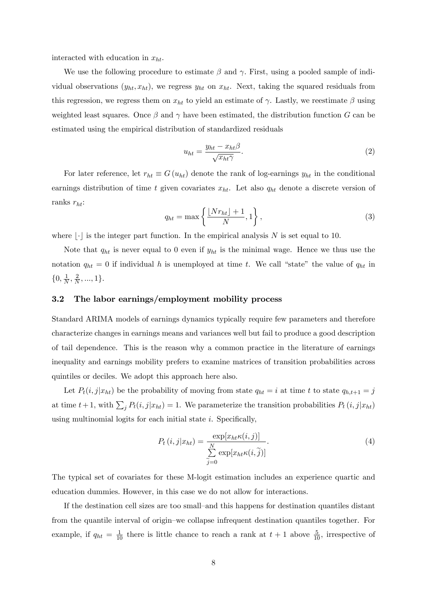interacted with education in  $x_{ht}$ .

We use the following procedure to estimate  $\beta$  and  $\gamma$ . First, using a pooled sample of individual observations  $(y_{ht}, x_{ht})$ , we regress  $y_{ht}$  on  $x_{ht}$ . Next, taking the squared residuals from this regression, we regress them on  $x_{ht}$  to yield an estimate of  $\gamma$ . Lastly, we reestimate  $\beta$  using weighted least squares. Once  $\beta$  and  $\gamma$  have been estimated, the distribution function G can be estimated using the empirical distribution of standardized residuals

$$
u_{ht} = \frac{y_{ht} - x_{ht}\beta}{\sqrt{x_{ht}\gamma}}.
$$
\n(2)

For later reference, let  $r_{ht} \equiv G(u_{ht})$  denote the rank of log-earnings  $y_{ht}$  in the conditional earnings distribution of time t given covariates  $x_{ht}$ . Let also  $q_{ht}$  denote a discrete version of ranks  $r_{ht}$ :

$$
q_{ht} = \max\left\{\frac{\lfloor Nr_{ht}\rfloor + 1}{N}, 1\right\},\tag{3}
$$

where  $|\cdot|$  is the integer part function. In the empirical analysis N is set equal to 10.

Note that  $q_{ht}$  is never equal to 0 even if  $y_{ht}$  is the minimal wage. Hence we thus use the notation  $q_{ht} = 0$  if individual h is unemployed at time t. We call "state" the value of  $q_{ht}$  in  $\{0, \frac{1}{N}\}$  $\frac{1}{N}, \frac{2}{N}$  $\frac{2}{N}, ..., 1$ .

#### 3.2 The labor earnings/employment mobility process

Standard ARIMA models of earnings dynamics typically require few parameters and therefore characterize changes in earnings means and variances well but fail to produce a good description of tail dependence. This is the reason why a common practice in the literature of earnings inequality and earnings mobility prefers to examine matrices of transition probabilities across quintiles or deciles. We adopt this approach here also.

Let  $P_t(i, j|x_{ht})$  be the probability of moving from state  $q_{ht} = i$  at time t to state  $q_{h,t+1} = j$ at time  $t + 1$ , with  $\sum_j P_t(i, j|x_{ht}) = 1$ . We parameterize the transition probabilities  $P_t(i, j|x_{ht})$ using multinomial logits for each initial state  $i$ . Specifically,

$$
P_t(i,j|x_{ht}) = \frac{\exp[x_{ht}\kappa(i,j)]}{\sum\limits_{\widetilde{j}=0}^{N} \exp[x_{ht}\kappa(i,\widetilde{j})]}.
$$
\n
$$
(4)
$$

The typical set of covariates for these M-logit estimation includes an experience quartic and education dummies. However, in this case we do not allow for interactions.

If the destination cell sizes are too small–and this happens for destination quantiles distant from the quantile interval of origin–we collapse infrequent destination quantiles together. For example, if  $q_{ht} = \frac{1}{10}$  there is little chance to reach a rank at  $t + 1$  above  $\frac{5}{10}$ , irrespective of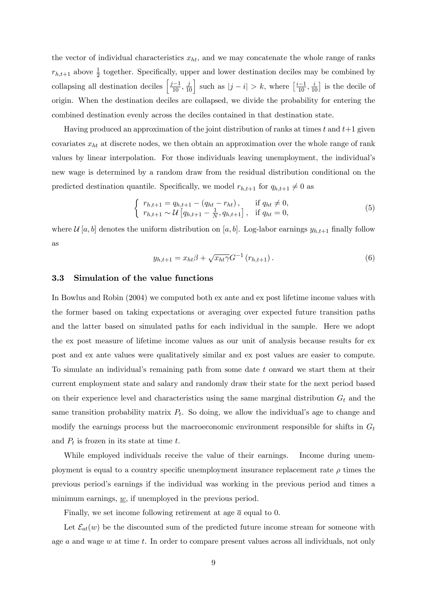the vector of individual characteristics  $x_{ht}$ , and we may concatenate the whole range of ranks  $r_{h,t+1}$  above  $\frac{1}{2}$  together. Specifically, upper and lower destination deciles may be combined by collapsing all destination deciles  $\left[\frac{j-1}{10}, \frac{j}{10}\right]$  such as  $|j-i| > k$ , where  $\left[\frac{i-1}{10}, \frac{i}{10}\right]$  is the decile of origin. When the destination deciles are collapsed, we divide the probability for entering the combined destination evenly across the deciles contained in that destination state.

Having produced an approximation of the joint distribution of ranks at times t and  $t+1$  given covariates  $x_{ht}$  at discrete nodes, we then obtain an approximation over the whole range of rank values by linear interpolation. For those individuals leaving unemployment, the individual's new wage is determined by a random draw from the residual distribution conditional on the predicted destination quantile. Specifically, we model  $r_{h,t+1}$  for  $q_{h,t+1} \neq 0$  as

$$
\begin{cases}\nr_{h,t+1} = q_{h,t+1} - (q_{ht} - r_{ht}), & \text{if } q_{ht} \neq 0, \\
r_{h,t+1} \sim \mathcal{U}\left[q_{h,t+1} - \frac{1}{N}, q_{h,t+1}\right], & \text{if } q_{ht} = 0,\n\end{cases}
$$
\n(5)

where  $\mathcal{U}[a, b]$  denotes the uniform distribution on  $[a, b]$ . Log-labor earnings  $y_{h,t+1}$  finally follow as

$$
y_{h,t+1} = x_{ht} \beta + \sqrt{x_{ht} \gamma} G^{-1} (r_{h,t+1}). \tag{6}
$$

### 3.3 Simulation of the value functions

In Bowlus and Robin (2004) we computed both ex ante and ex post lifetime income values with the former based on taking expectations or averaging over expected future transition paths and the latter based on simulated paths for each individual in the sample. Here we adopt the ex post measure of lifetime income values as our unit of analysis because results for ex post and ex ante values were qualitatively similar and ex post values are easier to compute. To simulate an individual's remaining path from some date  $t$  onward we start them at their current employment state and salary and randomly draw their state for the next period based on their experience level and characteristics using the same marginal distribution  $G_t$  and the same transition probability matrix  $P_t$ . So doing, we allow the individual's age to change and modify the earnings process but the macroeconomic environment responsible for shifts in  $G_t$ and  $P_t$  is frozen in its state at time  $t$ .

While employed individuals receive the value of their earnings. Income during unemployment is equal to a country specific unemployment insurance replacement rate  $\rho$  times the previous periodís earnings if the individual was working in the previous period and times a minimum earnings,  $\underline{w}$ , if unemployed in the previous period.

Finally, we set income following retirement at age  $\bar{a}$  equal to 0.

Let  $\mathcal{E}_{at}(w)$  be the discounted sum of the predicted future income stream for someone with age  $a$  and wage  $w$  at time  $t$ . In order to compare present values across all individuals, not only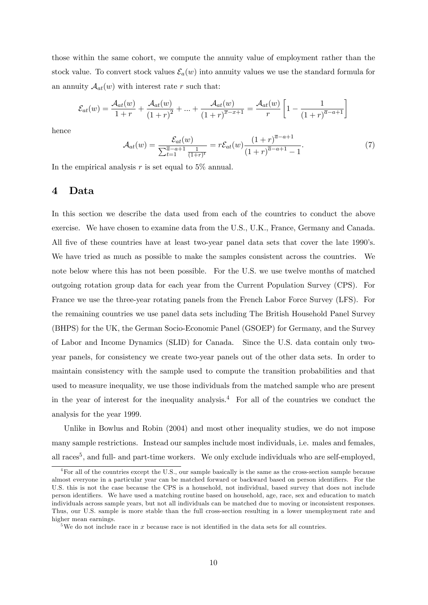those within the same cohort, we compute the annuity value of employment rather than the stock value. To convert stock values  $\mathcal{E}_a(w)$  into annuity values we use the standard formula for an annuity  $A_{at}(w)$  with interest rate r such that:

$$
\mathcal{E}_{at}(w) = \frac{\mathcal{A}_{at}(w)}{1+r} + \frac{\mathcal{A}_{at}(w)}{(1+r)^2} + \dots + \frac{\mathcal{A}_{at}(w)}{(1+r)^{\overline{x}-x+1}} = \frac{\mathcal{A}_{at}(w)}{r} \left[1 - \frac{1}{(1+r)^{\overline{a}-a+1}}\right]
$$

hence

$$
\mathcal{A}_{at}(w) = \frac{\mathcal{E}_{at}(w)}{\sum_{t=1}^{\overline{a}-a+1} \frac{1}{(1+r)^t}} = r\mathcal{E}_{at}(w) \frac{(1+r)^{\overline{a}-a+1}}{(1+r)^{\overline{a}-a+1}-1}.
$$
(7)

In the empirical analysis  $r$  is set equal to 5% annual.

#### 4 Data

In this section we describe the data used from each of the countries to conduct the above exercise. We have chosen to examine data from the U.S., U.K., France, Germany and Canada. All five of these countries have at least two-year panel data sets that cover the late 1990's. We have tried as much as possible to make the samples consistent across the countries. We note below where this has not been possible. For the U.S. we use twelve months of matched outgoing rotation group data for each year from the Current Population Survey (CPS). For France we use the three-year rotating panels from the French Labor Force Survey (LFS). For the remaining countries we use panel data sets including The British Household Panel Survey (BHPS) for the UK, the German Socio-Economic Panel (GSOEP) for Germany, and the Survey of Labor and Income Dynamics (SLID) for Canada. Since the U.S. data contain only twoyear panels, for consistency we create two-year panels out of the other data sets. In order to maintain consistency with the sample used to compute the transition probabilities and that used to measure inequality, we use those individuals from the matched sample who are present in the year of interest for the inequality analysis.<sup>4</sup> For all of the countries we conduct the analysis for the year 1999.

Unlike in Bowlus and Robin (2004) and most other inequality studies, we do not impose many sample restrictions. Instead our samples include most individuals, i.e. males and females, all races<sup>5</sup>, and full- and part-time workers. We only exclude individuals who are self-employed,

 ${}^{4}$  For all of the countries except the U.S., our sample basically is the same as the cross-section sample because almost everyone in a particular year can be matched forward or backward based on person identifiers. For the U.S. this is not the case because the CPS is a household, not individual, based survey that does not include person identifiers. We have used a matching routine based on household, age, race, sex and education to match individuals across sample years, but not all individuals can be matched due to moving or inconsistent responses. Thus, our U.S. sample is more stable than the full cross-section resulting in a lower unemployment rate and higher mean earnings.

<sup>&</sup>lt;sup>5</sup>We do not include race in x because race is not identified in the data sets for all countries.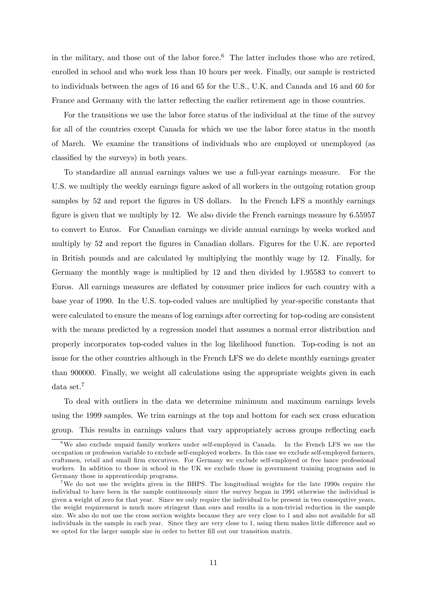in the military, and those out of the labor force.<sup>6</sup> The latter includes those who are retired, enrolled in school and who work less than 10 hours per week. Finally, our sample is restricted to individuals between the ages of 16 and 65 for the U.S., U.K. and Canada and 16 and 60 for France and Germany with the latter reflecting the earlier retirement age in those countries.

For the transitions we use the labor force status of the individual at the time of the survey for all of the countries except Canada for which we use the labor force status in the month of March. We examine the transitions of individuals who are employed or unemployed (as classified by the surveys) in both years.

To standardize all annual earnings values we use a full-year earnings measure. For the U.S. we multiply the weekly earnings figure asked of all workers in the outgoing rotation group samples by 52 and report the figures in US dollars. In the French LFS a monthly earnings figure is given that we multiply by 12. We also divide the French earnings measure by  $6.55957$ to convert to Euros. For Canadian earnings we divide annual earnings by weeks worked and multiply by 52 and report the figures in Canadian dollars. Figures for the U.K. are reported in British pounds and are calculated by multiplying the monthly wage by 12. Finally, for Germany the monthly wage is multiplied by 12 and then divided by 1.95583 to convert to Euros. All earnings measures are deáated by consumer price indices for each country with a base year of 1990. In the U.S. top-coded values are multiplied by year-specific constants that were calculated to ensure the means of log earnings after correcting for top-coding are consistent with the means predicted by a regression model that assumes a normal error distribution and properly incorporates top-coded values in the log likelihood function. Top-coding is not an issue for the other countries although in the French LFS we do delete monthly earnings greater than 900000. Finally, we weight all calculations using the appropriate weights given in each data set.<sup>7</sup>

To deal with outliers in the data we determine minimum and maximum earnings levels using the 1999 samples. We trim earnings at the top and bottom for each sex cross education group. This results in earnings values that vary appropriately across groups reflecting each

<sup>&</sup>lt;sup>6</sup>We also exclude unpaid family workers under self-employed in Canada. In the French LFS we use the occupation or profession variable to exclude self-employed workers. In this case we exclude self-employed farmers, craftsmen, retail and small Örm executives. For Germany we exclude self-employed or free lance professional workers. In addition to those in school in the UK we exclude those in government training programs and in Germany those in apprenticeship programs.

<sup>7</sup>We do not use the weights given in the BHPS. The longitudinal weights for the late 1990s require the individual to have been in the sample continuously since the survey began in 1991 otherwise the individual is given a weight of zero for that year. Since we only require the individual to be present in two consequtive years, the weight requirement is much more stringent than ours and results in a non-trivial reduction in the sample size. We also do not use the cross section weights because they are very close to 1 and also not available for all individuals in the sample in each year. Since they are very close to 1, using them makes little difference and so we opted for the larger sample size in order to better fill out our transition matrix.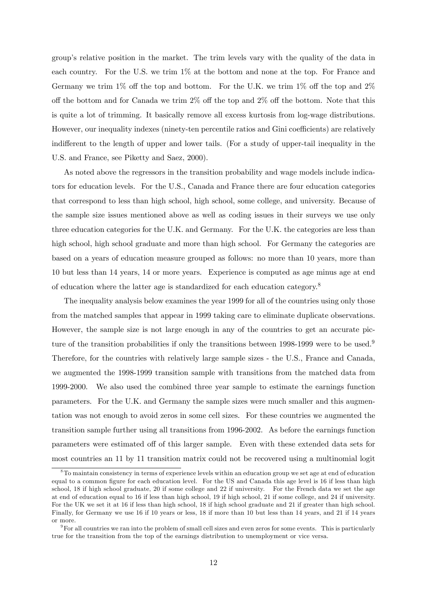groupís relative position in the market. The trim levels vary with the quality of the data in each country. For the U.S. we trim 1% at the bottom and none at the top. For France and Germany we trim 1% off the top and bottom. For the U.K. we trim 1% off the top and  $2\%$ off the bottom and for Canada we trim  $2\%$  off the top and  $2\%$  off the bottom. Note that this is quite a lot of trimming. It basically remove all excess kurtosis from log-wage distributions. However, our inequality indexes (ninety-ten percentile ratios and Gini coefficients) are relatively indifferent to the length of upper and lower tails. (For a study of upper-tail inequality in the U.S. and France, see Piketty and Saez, 2000).

As noted above the regressors in the transition probability and wage models include indicators for education levels. For the U.S., Canada and France there are four education categories that correspond to less than high school, high school, some college, and university. Because of the sample size issues mentioned above as well as coding issues in their surveys we use only three education categories for the U.K. and Germany. For the U.K. the categories are less than high school, high school graduate and more than high school. For Germany the categories are based on a years of education measure grouped as follows: no more than 10 years, more than 10 but less than 14 years, 14 or more years. Experience is computed as age minus age at end of education where the latter age is standardized for each education category.<sup>8</sup>

The inequality analysis below examines the year 1999 for all of the countries using only those from the matched samples that appear in 1999 taking care to eliminate duplicate observations. However, the sample size is not large enough in any of the countries to get an accurate picture of the transition probabilities if only the transitions between 1998-1999 were to be used.<sup>9</sup> Therefore, for the countries with relatively large sample sizes - the U.S., France and Canada, we augmented the 1998-1999 transition sample with transitions from the matched data from 1999-2000. We also used the combined three year sample to estimate the earnings function parameters. For the U.K. and Germany the sample sizes were much smaller and this augmentation was not enough to avoid zeros in some cell sizes. For these countries we augmented the transition sample further using all transitions from 1996-2002. As before the earnings function parameters were estimated off of this larger sample. Even with these extended data sets for most countries an 11 by 11 transition matrix could not be recovered using a multinomial logit

<sup>8</sup>To maintain consistency in terms of experience levels within an education group we set age at end of education equal to a common figure for each education level. For the US and Canada this age level is 16 if less than high school, 18 if high school graduate, 20 if some college and 22 if university. For the French data we set the age at end of education equal to 16 if less than high school, 19 if high school, 21 if some college, and 24 if university. For the UK we set it at 16 if less than high school, 18 if high school graduate and 21 if greater than high school. Finally, for Germany we use 16 if 10 years or less, 18 if more than 10 but less than 14 years, and 21 if 14 years or more.

 $9$ For all countries we ran into the problem of small cell sizes and even zeros for some events. This is particularly true for the transition from the top of the earnings distribution to unemployment or vice versa.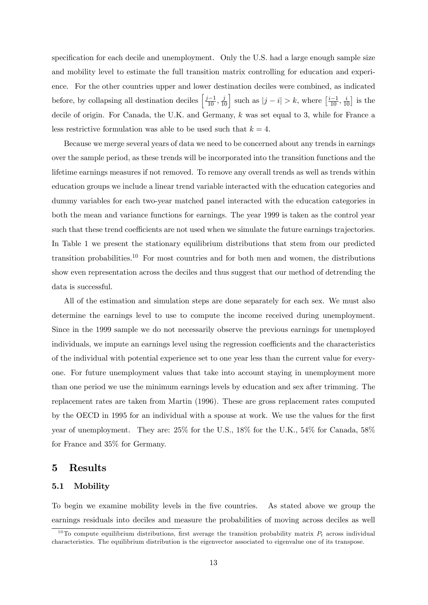specification for each decile and unemployment. Only the U.S. had a large enough sample size and mobility level to estimate the full transition matrix controlling for education and experience. For the other countries upper and lower destination deciles were combined, as indicated before, by collapsing all destination deciles  $\left[\frac{j-1}{10}, \frac{j}{10}\right]$  such as  $|j-i| > k$ , where  $\left[\frac{i-1}{10}, \frac{i}{10}\right]$  is the decile of origin. For Canada, the U.K. and Germany, k was set equal to 3, while for France a less restrictive formulation was able to be used such that  $k = 4$ .

Because we merge several years of data we need to be concerned about any trends in earnings over the sample period, as these trends will be incorporated into the transition functions and the lifetime earnings measures if not removed. To remove any overall trends as well as trends within education groups we include a linear trend variable interacted with the education categories and dummy variables for each two-year matched panel interacted with the education categories in both the mean and variance functions for earnings. The year 1999 is taken as the control year such that these trend coefficients are not used when we simulate the future earnings trajectories. In Table 1 we present the stationary equilibrium distributions that stem from our predicted transition probabilities.<sup>10</sup> For most countries and for both men and women, the distributions show even representation across the deciles and thus suggest that our method of detrending the data is successful.

All of the estimation and simulation steps are done separately for each sex. We must also determine the earnings level to use to compute the income received during unemployment. Since in the 1999 sample we do not necessarily observe the previous earnings for unemployed individuals, we impute an earnings level using the regression coefficients and the characteristics of the individual with potential experience set to one year less than the current value for everyone. For future unemployment values that take into account staying in unemployment more than one period we use the minimum earnings levels by education and sex after trimming. The replacement rates are taken from Martin (1996). These are gross replacement rates computed by the OECD in 1995 for an individual with a spouse at work. We use the values for the first year of unemployment. They are: 25% for the U.S., 18% for the U.K., 54% for Canada, 58% for France and 35% for Germany.

## 5 Results

### 5.1 Mobility

To begin we examine mobility levels in the Öve countries. As stated above we group the earnings residuals into deciles and measure the probabilities of moving across deciles as well

<sup>&</sup>lt;sup>10</sup>To compute equilibrium distributions, first average the transition probability matrix  $P_t$  across individual characteristics. The equilibrium distribution is the eigenvector associated to eigenvalue one of its transpose.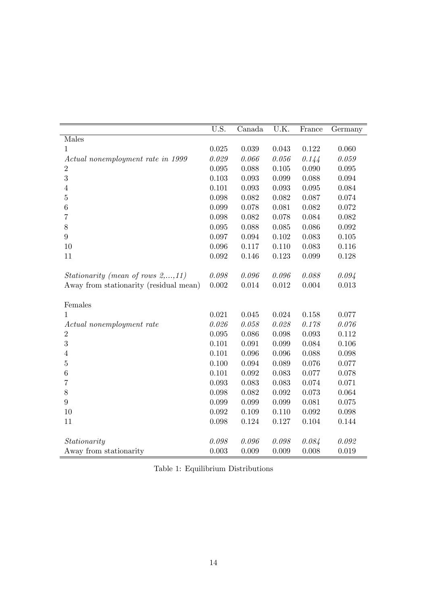|                                              | $\overline{U.S.}$ | Canada    | U.K.        | France | Germany     |
|----------------------------------------------|-------------------|-----------|-------------|--------|-------------|
| Males                                        |                   |           |             |        |             |
| $\mathbf{1}$                                 | 0.025             | 0.039     | 0.043       | 0.122  | 0.060       |
| Actual nonemployment rate in 1999            | 0.029             | 0.066     | 0.056       | 0.144  | 0.059       |
| $\overline{2}$                               | $\,0.095\,$       | 0.088     | 0.105       | 0.090  | $\,0.095\,$ |
| 3                                            | 0.103             | 0.093     | 0.099       | 0.088  | 0.094       |
| $\,4\,$                                      | 0.101             | 0.093     | 0.093       | 0.095  | 0.084       |
| $\mathbf 5$                                  | 0.098             | 0.082     | 0.082       | 0.087  | 0.074       |
| $\,6$                                        | 0.099             | 0.078     | 0.081       | 0.082  | 0.072       |
| 7                                            | 0.098             | 0.082     | 0.078       | 0.084  | 0.082       |
| 8                                            | 0.095             | 0.088     | 0.085       | 0.086  | 0.092       |
| $\boldsymbol{9}$                             | 0.097             | 0.094     | 0.102       | 0.083  | 0.105       |
| 10                                           | 0.096             | 0.117     | 0.110       | 0.083  | 0.116       |
| 11                                           | 0.092             | 0.146     | 0.123       | 0.099  | 0.128       |
|                                              |                   |           |             |        |             |
| Stationarity (mean of rows $2, \ldots, 11$ ) | $0.098\,$         | 0.096     | 0.096       | 0.088  | 0.094       |
| Away from stationarity (residual mean)       | 0.002             | $0.014\,$ | $\,0.012\,$ | 0.004  | 0.013       |
|                                              |                   |           |             |        |             |
| Females                                      |                   |           |             |        |             |
| 1                                            | 0.021             | 0.045     | 0.024       | 0.158  | 0.077       |
| Actual nonemployment rate                    | 0.026             | 0.058     | 0.028       | 0.178  | 0.076       |
| $\overline{2}$                               | 0.095             | 0.086     | 0.098       | 0.093  | 0.112       |
| 3                                            | 0.101             | 0.091     | 0.099       | 0.084  | 0.106       |
| $\overline{4}$                               | 0.101             | 0.096     | 0.096       | 0.088  | 0.098       |
| $\bf 5$                                      | 0.100             | 0.094     | 0.089       | 0.076  | 0.077       |
| 6                                            | 0.101             | 0.092     | 0.083       | 0.077  | 0.078       |
| $\overline{7}$                               | 0.093             | 0.083     | 0.083       | 0.074  | 0.071       |
| $8\,$                                        | 0.098             | 0.082     | 0.092       | 0.073  | 0.064       |
| 9                                            | 0.099             | 0.099     | 0.099       | 0.081  | 0.075       |
| 10                                           | 0.092             | 0.109     | 0.110       | 0.092  | 0.098       |
| 11                                           | 0.098             | 0.124     | 0.127       | 0.104  | 0.144       |
|                                              |                   |           |             |        |             |
| Stationarity                                 | 0.098             | 0.096     | 0.098       | 0.084  | 0.092       |
| Away from stationarity                       | 0.003             | 0.009     | 0.009       | 0.008  | 0.019       |

Table 1: Equilibrium Distributions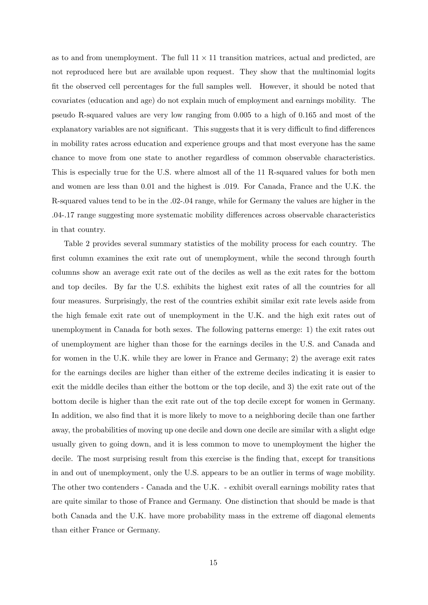as to and from unemployment. The full  $11 \times 11$  transition matrices, actual and predicted, are not reproduced here but are available upon request. They show that the multinomial logits Öt the observed cell percentages for the full samples well. However, it should be noted that covariates (education and age) do not explain much of employment and earnings mobility. The pseudo R-squared values are very low ranging from 0.005 to a high of 0.165 and most of the explanatory variables are not significant. This suggests that it is very difficult to find differences in mobility rates across education and experience groups and that most everyone has the same chance to move from one state to another regardless of common observable characteristics. This is especially true for the U.S. where almost all of the 11 R-squared values for both men and women are less than 0.01 and the highest is .019. For Canada, France and the U.K. the R-squared values tend to be in the .02-.04 range, while for Germany the values are higher in the .04-.17 range suggesting more systematic mobility differences across observable characteristics in that country.

Table 2 provides several summary statistics of the mobility process for each country. The first column examines the exit rate out of unemployment, while the second through fourth columns show an average exit rate out of the deciles as well as the exit rates for the bottom and top deciles. By far the U.S. exhibits the highest exit rates of all the countries for all four measures. Surprisingly, the rest of the countries exhibit similar exit rate levels aside from the high female exit rate out of unemployment in the U.K. and the high exit rates out of unemployment in Canada for both sexes. The following patterns emerge: 1) the exit rates out of unemployment are higher than those for the earnings deciles in the U.S. and Canada and for women in the U.K. while they are lower in France and Germany; 2) the average exit rates for the earnings deciles are higher than either of the extreme deciles indicating it is easier to exit the middle deciles than either the bottom or the top decile, and 3) the exit rate out of the bottom decile is higher than the exit rate out of the top decile except for women in Germany. In addition, we also find that it is more likely to move to a neighboring decile than one farther away, the probabilities of moving up one decile and down one decile are similar with a slight edge usually given to going down, and it is less common to move to unemployment the higher the decile. The most surprising result from this exercise is the finding that, except for transitions in and out of unemployment, only the U.S. appears to be an outlier in terms of wage mobility. The other two contenders - Canada and the U.K. - exhibit overall earnings mobility rates that are quite similar to those of France and Germany. One distinction that should be made is that both Canada and the U.K. have more probability mass in the extreme off diagonal elements than either France or Germany.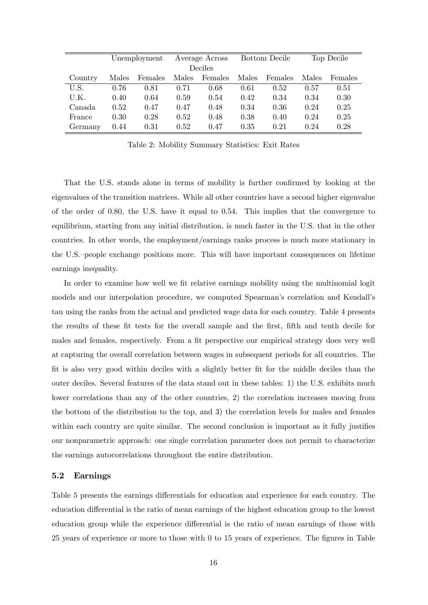|         | Unemployment |         |       | Average Across |       | Bottom Decile |       | Top Decile |
|---------|--------------|---------|-------|----------------|-------|---------------|-------|------------|
|         | Deciles      |         |       |                |       |               |       |            |
| Country | Males        | Females | Males | Females        | Males | Females       | Males | Females    |
| U.S.    | 0.76         | 0.81    | 0.71  | 0.68           | 0.61  | 0.52          | 0.57  | 0.51       |
| U.K.    | 0.40         | 0.64    | 0.59  | 0.54           | 0.42  | 0.34          | 0.34  | 0.30       |
| Canada  | 0.52         | 0.47    | 0.47  | 0.48           | 0.34  | 0.36          | 0.24  | 0.25       |
| France  | 0.30         | 0.28    | 0.52  | 0.48           | 0.38  | 0.40          | 0.24  | 0.25       |
| Germany | 0.44         | 0.31    | 0.52  | 0.47           | 0.35  | 0.21          | 0.24  | 0.28       |

Table 2: Mobility Summary Statistics: Exit Rates

That the U.S. stands alone in terms of mobility is further confirmed by looking at the eigenvalues of the transition matrices. While all other countries have a second higher eigenvalue of the order of 0:80, the U.S. have it equal to 0:54. This implies that the convergence to equilibrium, starting from any initial distribution, is much faster in the U.S. that in the other countries. In other words, the employment/earnings ranks process is much more stationary in the U.S.-people exchange positions more. This will have important consequences on lifetime earnings inequality.

In order to examine how well we fit relative earnings mobility using the multinomial logit models and our interpolation procedure, we computed Spearman's correlation and Kendall's tau using the ranks from the actual and predicted wage data for each country. Table 4 presents the results of these fit tests for the overall sample and the first, fifth and tenth decile for males and females, respectively. From a fit perspective our empirical strategy does very well at capturing the overall correlation between wages in subsequent periods for all countries. The fit is also very good within deciles with a slightly better fit for the middle deciles than the outer deciles. Several features of the data stand out in these tables: 1) the U.S. exhibits much lower correlations than any of the other countries, 2) the correlation increases moving from the bottom of the distribution to the top, and 3) the correlation levels for males and females within each country are quite similar. The second conclusion is important as it fully justifies our nonparametric approach: one single correlation parameter does not permit to characterize the earnings autocorrelations throughout the entire distribution.

#### 5.2 Earnings

Table 5 presents the earnings differentials for education and experience for each country. The education differential is the ratio of mean earnings of the highest education group to the lowest education group while the experience differential is the ratio of mean earnings of those with 25 years of experience or more to those with 0 to 15 years of experience. The figures in Table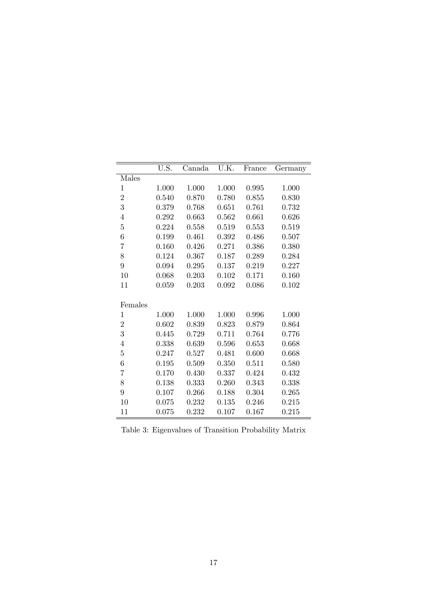|                  | U.S.  | Canada | U.K.  | France | Germany |
|------------------|-------|--------|-------|--------|---------|
| Males            |       |        |       |        |         |
| $\mathbf 1$      | 1.000 | 1.000  | 1.000 | 0.995  | 1.000   |
| $\overline{2}$   | 0.540 | 0.870  | 0.780 | 0.855  | 0.830   |
| 3                | 0.379 | 0.768  | 0.651 | 0.761  | 0.732   |
| $\,4\,$          | 0.292 | 0.663  | 0.562 | 0.661  | 0.626   |
| $\overline{5}$   | 0.224 | 0.558  | 0.519 | 0.553  | 0.519   |
| $\boldsymbol{6}$ | 0.199 | 0.461  | 0.392 | 0.486  | 0.507   |
| 7                | 0.160 | 0.426  | 0.271 | 0.386  | 0.380   |
| 8                | 0.124 | 0.367  | 0.187 | 0.289  | 0.284   |
| $\overline{9}$   | 0.094 | 0.295  | 0.137 | 0.219  | 0.227   |
| 10               | 0.068 | 0.203  | 0.102 | 0.171  | 0.160   |
| 11               | 0.059 | 0.203  | 0.092 | 0.086  | 0.102   |
|                  |       |        |       |        |         |
| Females          |       |        |       |        |         |
| $\mathbf 1$      | 1.000 | 1.000  | 1.000 | 0.996  | 1.000   |
| $\overline{2}$   | 0.602 | 0.839  | 0.823 | 0.879  | 0.864   |
| 3                | 0.445 | 0.729  | 0.711 | 0.764  | 0.776   |
| $\,4\,$          | 0.338 | 0.639  | 0.596 | 0.653  | 0.668   |
| $\overline{5}$   | 0.247 | 0.527  | 0.481 | 0.600  | 0.668   |
| $\boldsymbol{6}$ | 0.195 | 0.509  | 0.350 | 0.511  | 0.580   |
| 7                | 0.170 | 0.430  | 0.337 | 0.424  | 0.432   |
| 8                | 0.138 | 0.333  | 0.260 | 0.343  | 0.338   |
| $\overline{9}$   | 0.107 | 0.266  | 0.188 | 0.304  | 0.265   |
| 10               | 0.075 | 0.232  | 0.135 | 0.246  | 0.215   |
| 11               | 0.075 | 0.232  | 0.107 | 0.167  | 0.215   |

Table 3: Eigenvalues of Transition Probability Matrix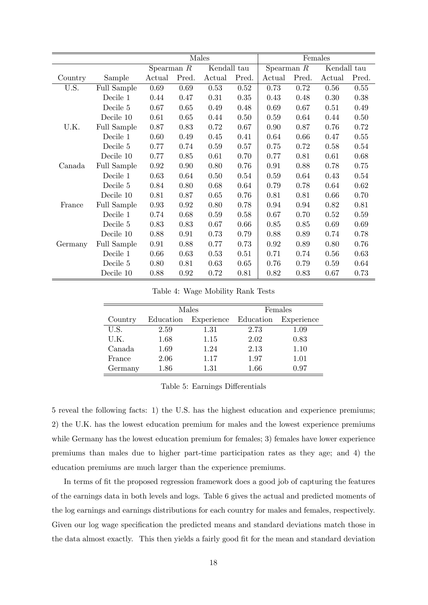|         |             | Females      |       |             |       |              |       |             |          |
|---------|-------------|--------------|-------|-------------|-------|--------------|-------|-------------|----------|
|         |             | Spearman $R$ |       | Kendall tau |       | Spearman $R$ |       | Kendall tau |          |
| Country | Sample      | Actual       | Pred. | Actual      | Pred. | Actual       | Pred. | Actual      | Pred.    |
| U.S.    | Full Sample | 0.69         | 0.69  | 0.53        | 0.52  | 0.73         | 0.72  | 0.56        | 0.55     |
|         | Decile 1    | 0.44         | 0.47  | 0.31        | 0.35  | 0.43         | 0.48  | 0.30        | 0.38     |
|         | Decile 5    | 0.67         | 0.65  | 0.49        | 0.48  | 0.69         | 0.67  | 0.51        | 0.49     |
|         | Decile 10   | 0.61         | 0.65  | 0.44        | 0.50  | 0.59         | 0.64  | 0.44        | 0.50     |
| U.K.    | Full Sample | 0.87         | 0.83  | 0.72        | 0.67  | 0.90         | 0.87  | 0.76        | 0.72     |
|         | Decile 1    | 0.60         | 0.49  | 0.45        | 0.41  | 0.64         | 0.66  | 0.47        | $0.55\,$ |
|         | Decile 5    | 0.77         | 0.74  | 0.59        | 0.57  | 0.75         | 0.72  | 0.58        | 0.54     |
|         | Decile 10   | 0.77         | 0.85  | 0.61        | 0.70  | 0.77         | 0.81  | 0.61        | 0.68     |
| Canada  | Full Sample | 0.92         | 0.90  | 0.80        | 0.76  | 0.91         | 0.88  | 0.78        | 0.75     |
|         | Decile 1    | 0.63         | 0.64  | 0.50        | 0.54  | 0.59         | 0.64  | 0.43        | 0.54     |
|         | Decile 5    | 0.84         | 0.80  | 0.68        | 0.64  | 0.79         | 0.78  | 0.64        | 0.62     |
|         | Decile 10   | 0.81         | 0.87  | 0.65        | 0.76  | 0.81         | 0.81  | 0.66        | 0.70     |
| France  | Full Sample | 0.93         | 0.92  | 0.80        | 0.78  | 0.94         | 0.94  | 0.82        | 0.81     |
|         | Decile 1    | 0.74         | 0.68  | 0.59        | 0.58  | 0.67         | 0.70  | 0.52        | 0.59     |
|         | Decile 5    | 0.83         | 0.83  | 0.67        | 0.66  | 0.85         | 0.85  | 0.69        | 0.69     |
|         | Decile 10   | 0.88         | 0.91  | 0.73        | 0.79  | 0.88         | 0.89  | 0.74        | 0.78     |
| Germany | Full Sample | 0.91         | 0.88  | 0.77        | 0.73  | 0.92         | 0.89  | 0.80        | 0.76     |
|         | Decile 1    | 0.66         | 0.63  | 0.53        | 0.51  | 0.71         | 0.74  | 0.56        | 0.63     |
|         | Decile 5    | 0.80         | 0.81  | 0.63        | 0.65  | 0.76         | 0.79  | 0.59        | 0.64     |
|         | Decile 10   | 0.88         | 0.92  | 0.72        | 0.81  | 0.82         | 0.83  | 0.67        | 0.73     |

Table 4: Wage Mobility Rank Tests

|         |           | Males                | Females |            |  |  |
|---------|-----------|----------------------|---------|------------|--|--|
| Country | Education | Experience Education |         | Experience |  |  |
| U.S.    | 2.59      | 1.31                 | 2.73    | 1.09       |  |  |
| U.K.    | 1.68      | 1.15                 | 2.02    | 0.83       |  |  |
| Canada  | 1.69      | 1.24                 | 2.13    | 1.10       |  |  |
| France  | 2.06      | 1.17                 | 1.97    | 1.01       |  |  |
| Germany | 1.86      | 1.31                 | 1.66    | 0.97       |  |  |

Table 5: Earnings Differentials

5 reveal the following facts: 1) the U.S. has the highest education and experience premiums; 2) the U.K. has the lowest education premium for males and the lowest experience premiums while Germany has the lowest education premium for females; 3) females have lower experience premiums than males due to higher part-time participation rates as they age; and 4) the education premiums are much larger than the experience premiums.

In terms of fit the proposed regression framework does a good job of capturing the features of the earnings data in both levels and logs. Table 6 gives the actual and predicted moments of the log earnings and earnings distributions for each country for males and females, respectively. Given our log wage specification the predicted means and standard deviations match those in the data almost exactly. This then yields a fairly good fit for the mean and standard deviation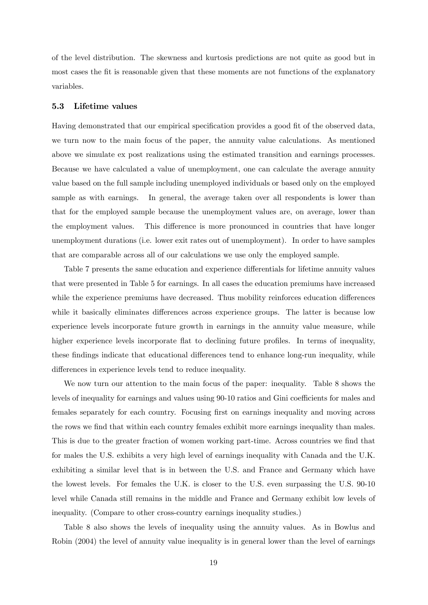of the level distribution. The skewness and kurtosis predictions are not quite as good but in most cases the fit is reasonable given that these moments are not functions of the explanatory variables.

#### 5.3 Lifetime values

Having demonstrated that our empirical specification provides a good fit of the observed data, we turn now to the main focus of the paper, the annuity value calculations. As mentioned above we simulate ex post realizations using the estimated transition and earnings processes. Because we have calculated a value of unemployment, one can calculate the average annuity value based on the full sample including unemployed individuals or based only on the employed sample as with earnings. In general, the average taken over all respondents is lower than that for the employed sample because the unemployment values are, on average, lower than the employment values. This difference is more pronounced in countries that have longer unemployment durations (i.e. lower exit rates out of unemployment). In order to have samples that are comparable across all of our calculations we use only the employed sample.

Table 7 presents the same education and experience differentials for lifetime annuity values that were presented in Table 5 for earnings. In all cases the education premiums have increased while the experience premiums have decreased. Thus mobility reinforces education differences while it basically eliminates differences across experience groups. The latter is because low experience levels incorporate future growth in earnings in the annuity value measure, while higher experience levels incorporate flat to declining future profiles. In terms of inequality, these findings indicate that educational differences tend to enhance long-run inequality, while differences in experience levels tend to reduce inequality.

We now turn our attention to the main focus of the paper: inequality. Table 8 shows the levels of inequality for earnings and values using 90-10 ratios and Gini coefficients for males and females separately for each country. Focusing first on earnings inequality and moving across the rows we find that within each country females exhibit more earnings inequality than males. This is due to the greater fraction of women working part-time. Across countries we find that for males the U.S. exhibits a very high level of earnings inequality with Canada and the U.K. exhibiting a similar level that is in between the U.S. and France and Germany which have the lowest levels. For females the U.K. is closer to the U.S. even surpassing the U.S. 90-10 level while Canada still remains in the middle and France and Germany exhibit low levels of inequality. (Compare to other cross-country earnings inequality studies.)

Table 8 also shows the levels of inequality using the annuity values. As in Bowlus and Robin (2004) the level of annuity value inequality is in general lower than the level of earnings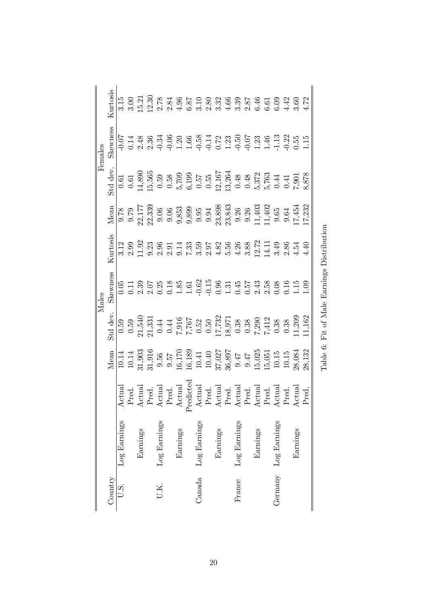| Females | Kurtosis<br>skewness |              |          |  |              |          |    |              |          |              |          |              |                                                                                                                                                                                                                        | $\begin{array}{l} 0.7148884400\\ 0.71488400\\ 0.7148400\\ 0.7148400\\ 0.71400\\ 0.71400\\ 0.71400\\ 0.71400\\ 0.71400\\ 0.71400\\ 0.71400\\ 0.71400\\ 0.71400\\ 0.71400\\ 0.71400\\ 0.71400\\ 0.71400\\ 0.71400\\ 0.71400\\ 0.71400\\ 0.71400\\ 0.71400\\ 0.$                                                     |
|---------|----------------------|--------------|----------|--|--------------|----------|----|--------------|----------|--------------|----------|--------------|------------------------------------------------------------------------------------------------------------------------------------------------------------------------------------------------------------------------|-------------------------------------------------------------------------------------------------------------------------------------------------------------------------------------------------------------------------------------------------------------------------------------------------------------------|
|         | Std dev.             |              |          |  |              |          |    |              |          |              |          |              |                                                                                                                                                                                                                        | 0.61<br>0.61 5,565<br>0.63 5,659<br>0.63 5,659<br>6.53 5<br>0.64 3,872<br>6.73 5<br>0.73 5<br>6.878<br>7.90<br>7.8<br>8.878                                                                                                                                                                                       |
|         | Mean                 |              |          |  |              |          |    |              |          |              |          |              |                                                                                                                                                                                                                        | $\frac{8}{2}$ $\frac{8}{2}$ $\frac{17}{2}$ $\frac{23}{2}$ $\frac{33}{2}$ $\frac{33}{2}$ $\frac{33}{2}$ $\frac{33}{2}$ $\frac{33}{2}$ $\frac{33}{2}$ $\frac{33}{2}$ $\frac{33}{2}$ $\frac{33}{2}$ $\frac{33}{2}$ $\frac{33}{2}$ $\frac{33}{2}$ $\frac{33}{2}$ $\frac{33}{2}$ $\frac{33}{2}$ $\frac{33}{2}$ $\frac$ |
|         | Kurtosis             |              |          |  |              |          |    |              |          |              |          |              |                                                                                                                                                                                                                        |                                                                                                                                                                                                                                                                                                                   |
| Males   | Skewness             |              |          |  |              |          |    |              |          |              |          |              |                                                                                                                                                                                                                        |                                                                                                                                                                                                                                                                                                                   |
|         | Std dev.             |              |          |  |              |          |    |              |          |              |          |              |                                                                                                                                                                                                                        | 0.59<br>0.59<br>21,5331<br>21,331<br>7.761<br>7.762<br>0.59<br>7.741<br>7.91<br>7.741<br>7.762<br>7.741<br>7.762<br>7.741<br>7.762<br>7.741<br>7.762<br>7.741<br>7.762<br>7.741<br>7.762<br>7.741<br>7.762<br>7.741<br>7.762<br>7.762<br>7.741<br>7.762<br>7.741<br>7.762<br>7.741<br>7.762                       |
|         | Mean                 |              |          |  |              |          |    |              |          |              |          |              |                                                                                                                                                                                                                        | $\begin{array}{l} 10.14 \\ 10.14 \\ 31,903 \\ 9.57 \\ 16,170 \\ 16,189 \\ 16,189 \\ 16,189 \\ 16,192 \\ 17,027 \\ 18,897 \\ 19.47 \\ 19.50 \\ 10.15 \\ 10.2 \\ 10.3 \\ 13.3 \\ 28,084 \\ 10.5 \\ 10.3 \\ 28,084 \\ 29.3 \\ 28,132 \\ 29.3 \\ 20.3 \\ 20.3 \\ 20.3 \\ 20.3 \\ 20.3 \\ 20.3 \\ 20.3 \\$             |
|         |                      | Actual       |          |  |              |          | р. |              |          |              |          |              | Pred.<br>Actual<br>Actual<br>Actual<br>Actual<br>Actual<br>Actual<br>Actual<br>Actual<br>Actual<br>Actual<br>Actual<br>Actual<br>Actual<br>Actual<br>Actual<br>Actual<br>Actual<br>Actual<br>Actual<br>Actual<br>Pred. | Actual                                                                                                                                                                                                                                                                                                            |
|         |                      | Log Earnings | Earnings |  | Log Earnings | Earnings |    | Log Earnings | Earnings | Log Earnings | Earnings | Log Earnings |                                                                                                                                                                                                                        | Earnings                                                                                                                                                                                                                                                                                                          |
|         | Country              | U.S.         |          |  |              |          |    | Canada       |          | France       |          | Germany      |                                                                                                                                                                                                                        |                                                                                                                                                                                                                                                                                                                   |

Table 6: Fit of Male Earnings Distribution Table 6: Fit of Male Earnings Distribution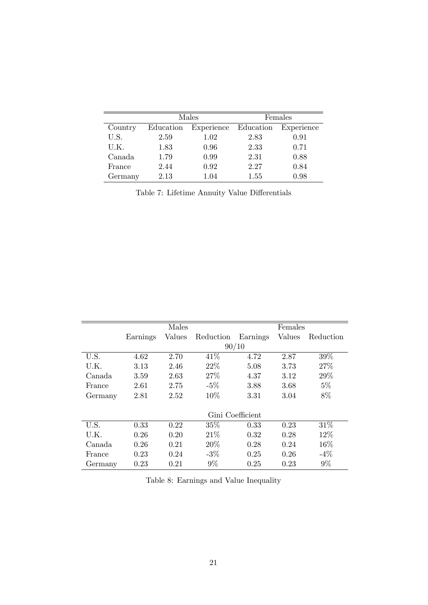|         |           | Males                | Females |            |  |  |
|---------|-----------|----------------------|---------|------------|--|--|
| Country | Education | Experience Education |         | Experience |  |  |
| U.S.    | 2.59      | 1.02                 | 2.83    | 0.91       |  |  |
| U.K.    | 1.83      | 0.96                 | 2.33    | 0.71       |  |  |
| Canada  | 1.79      | 0.99                 | 2.31    | 0.88       |  |  |
| France  | 2.44      | 0.92                 | 2.27    | 0.84       |  |  |
| Germany | 2.13      | 1.04                 | 1.55    | 0.98       |  |  |

Table 7: Lifetime Annuity Value Differentials

|         |          | Males  |                  |          | Females       |           |
|---------|----------|--------|------------------|----------|---------------|-----------|
|         | Earnings | Values | Reduction        | Earnings | <b>Values</b> | Reduction |
|         |          |        | 90/10            |          |               |           |
| U.S.    | 4.62     | 2.70   | 41\%             | 4.72     | 2.87          | 39%       |
| U.K.    | 3.13     | 2.46   | 22%              | 5.08     | 3.73          | 27\%      |
| Canada  | 3.59     | 2.63   | 27%              | 4.37     | 3.12          | 29%       |
| France  | 2.61     | 2.75   | $-5\%$           | 3.88     | 3.68          | $5\%$     |
| Germany | 2.81     | 2.52   | 10%              | 3.31     | 3.04          | 8%        |
|         |          |        |                  |          |               |           |
|         |          |        | Gini Coefficient |          |               |           |
| U.S.    | 0.33     | 0.22   | 35%              | 0.33     | 0.23          | 31%       |
| U.K.    | 0.26     | 0.20   | 21\%             | 0.32     | 0.28          | 12%       |
| Canada  | 0.26     | 0.21   | 20%              | 0.28     | 0.24          | 16%       |
| France  | 0.23     | 0.24   | $-3\%$           | 0.25     | 0.26          | $-4\%$    |
| Germany | 0.23     | 0.21   | $9\%$            | 0.25     | 0.23          | 9%        |

Table 8: Earnings and Value Inequality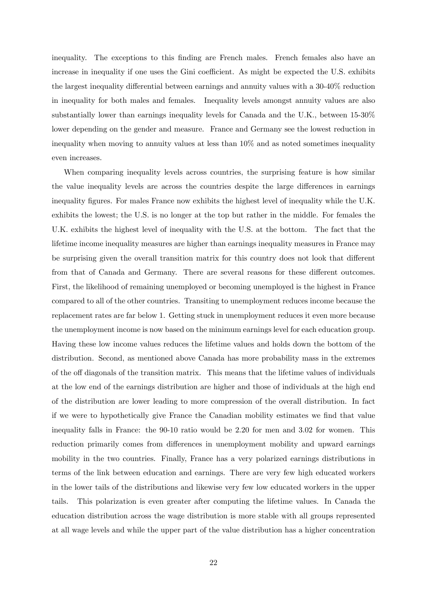inequality. The exceptions to this finding are French males. French females also have an increase in inequality if one uses the Gini coefficient. As might be expected the U.S. exhibits the largest inequality differential between earnings and annuity values with a  $30-40\%$  reduction in inequality for both males and females. Inequality levels amongst annuity values are also substantially lower than earnings inequality levels for Canada and the U.K., between 15-30% lower depending on the gender and measure. France and Germany see the lowest reduction in inequality when moving to annuity values at less than 10% and as noted sometimes inequality even increases.

When comparing inequality levels across countries, the surprising feature is how similar the value inequality levels are across the countries despite the large differences in earnings inequality figures. For males France now exhibits the highest level of inequality while the U.K. exhibits the lowest; the U.S. is no longer at the top but rather in the middle. For females the U.K. exhibits the highest level of inequality with the U.S. at the bottom. The fact that the lifetime income inequality measures are higher than earnings inequality measures in France may be surprising given the overall transition matrix for this country does not look that different from that of Canada and Germany. There are several reasons for these different outcomes. First, the likelihood of remaining unemployed or becoming unemployed is the highest in France compared to all of the other countries. Transiting to unemployment reduces income because the replacement rates are far below 1. Getting stuck in unemployment reduces it even more because the unemployment income is now based on the minimum earnings level for each education group. Having these low income values reduces the lifetime values and holds down the bottom of the distribution. Second, as mentioned above Canada has more probability mass in the extremes of the off diagonals of the transition matrix. This means that the lifetime values of individuals at the low end of the earnings distribution are higher and those of individuals at the high end of the distribution are lower leading to more compression of the overall distribution. In fact if we were to hypothetically give France the Canadian mobility estimates we find that value inequality falls in France: the 90-10 ratio would be 2.20 for men and 3.02 for women. This reduction primarily comes from differences in unemployment mobility and upward earnings mobility in the two countries. Finally, France has a very polarized earnings distributions in terms of the link between education and earnings. There are very few high educated workers in the lower tails of the distributions and likewise very few low educated workers in the upper tails. This polarization is even greater after computing the lifetime values. In Canada the education distribution across the wage distribution is more stable with all groups represented at all wage levels and while the upper part of the value distribution has a higher concentration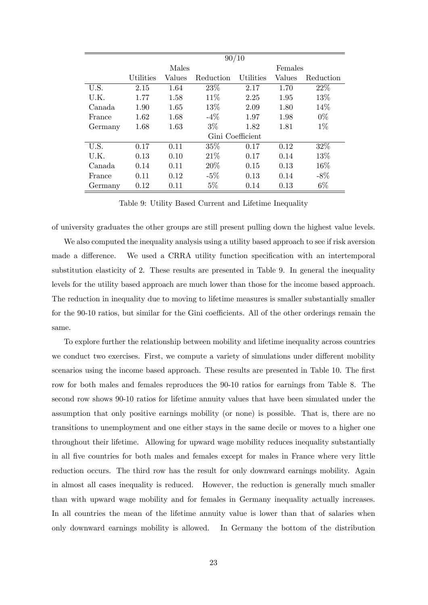|         | 90/10     |        |           |                  |        |           |  |  |
|---------|-----------|--------|-----------|------------------|--------|-----------|--|--|
|         |           | Males  |           | Females          |        |           |  |  |
|         | Utilities | Values | Reduction | Utilities        | Values | Reduction |  |  |
| U.S.    | 2.15      | 1.64   | 23%       | 2.17             | 1.70   | 22%       |  |  |
| U.K.    | 1.77      | 1.58   | 11\%      | 2.25             | 1.95   | 13%       |  |  |
| Canada  | 1.90      | 1.65   | 13\%      | 2.09             | 1.80   | 14%       |  |  |
| France  | 1.62      | 1.68   | $-4\%$    | 1.97             | 1.98   | $0\%$     |  |  |
| Germany | 1.68      | 1.63   | $3\%$     | 1.82             | 1.81   | $1\%$     |  |  |
|         |           |        |           | Gini Coefficient |        |           |  |  |
| U.S.    | 0.17      | 0.11   | 35%       | 0.17             | 0.12   | 32%       |  |  |
| U.K.    | 0.13      | 0.10   | 21%       | 0.17             | 0.14   | 13%       |  |  |
| Canada  | 0.14      | 0.11   | 20%       | 0.15             | 0.13   | 16%       |  |  |
| France  | 0.11      | 0.12   | $-5\%$    | 0.13             | 0.14   | $-8\%$    |  |  |
| Germany | 0.12      | 0.11   | $5\%$     | 0.14             | 0.13   | $6\%$     |  |  |

Table 9: Utility Based Current and Lifetime Inequality

of university graduates the other groups are still present pulling down the highest value levels.

We also computed the inequality analysis using a utility based approach to see if risk aversion made a difference. We used a CRRA utility function specification with an intertemporal substitution elasticity of 2. These results are presented in Table 9. In general the inequality levels for the utility based approach are much lower than those for the income based approach. The reduction in inequality due to moving to lifetime measures is smaller substantially smaller for the 90-10 ratios, but similar for the Gini coefficients. All of the other orderings remain the same.

To explore further the relationship between mobility and lifetime inequality across countries we conduct two exercises. First, we compute a variety of simulations under different mobility scenarios using the income based approach. These results are presented in Table 10. The first row for both males and females reproduces the 90-10 ratios for earnings from Table 8. The second row shows 90-10 ratios for lifetime annuity values that have been simulated under the assumption that only positive earnings mobility (or none) is possible. That is, there are no transitions to unemployment and one either stays in the same decile or moves to a higher one throughout their lifetime. Allowing for upward wage mobility reduces inequality substantially in all Öve countries for both males and females except for males in France where very little reduction occurs. The third row has the result for only downward earnings mobility. Again in almost all cases inequality is reduced. However, the reduction is generally much smaller than with upward wage mobility and for females in Germany inequality actually increases. In all countries the mean of the lifetime annuity value is lower than that of salaries when only downward earnings mobility is allowed. In Germany the bottom of the distribution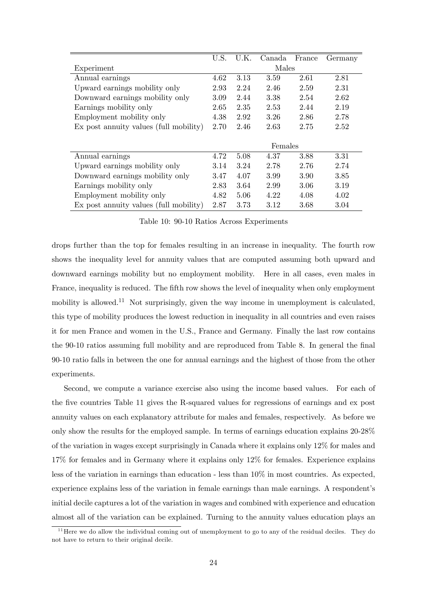|                                        | U.S. | U.K. | Canada  | France | Germany |
|----------------------------------------|------|------|---------|--------|---------|
| Experiment                             |      |      | Males   |        |         |
| Annual earnings                        | 4.62 | 3.13 | 3.59    | 2.61   | 2.81    |
| Upward earnings mobility only          | 2.93 | 2.24 | 2.46    | 2.59   | 2.31    |
| Downward earnings mobility only        | 3.09 | 2.44 | 3.38    | 2.54   | 2.62    |
| Earnings mobility only                 | 2.65 | 2.35 | 2.53    | 2.44   | 2.19    |
| Employment mobility only               | 4.38 | 2.92 | 3.26    | 2.86   | 2.78    |
| Ex post annuity values (full mobility) |      | 2.46 | 2.63    | 2.75   | 2.52    |
|                                        |      |      |         |        |         |
|                                        |      |      | Females |        |         |
| Annual earnings                        | 4.72 | 5.08 | 4.37    | 3.88   | 3.31    |
| Upward earnings mobility only          | 3.14 | 3.24 | 2.78    | 2.76   | 2.74    |
| Downward earnings mobility only        | 3.47 | 4.07 | 3.99    | 3.90   | 3.85    |
| Earnings mobility only                 | 2.83 | 3.64 | 2.99    | 3.06   | 3.19    |
| Employment mobility only               |      | 5.06 | 4.22    | 4.08   | 4.02    |
| Ex post annuity values (full mobility) | 2.87 | 3.73 | 3.12    | 3.68   | 3.04    |

Table 10: 90-10 Ratios Across Experiments

drops further than the top for females resulting in an increase in inequality. The fourth row shows the inequality level for annuity values that are computed assuming both upward and downward earnings mobility but no employment mobility. Here in all cases, even males in France, inequality is reduced. The fifth row shows the level of inequality when only employment mobility is allowed.<sup>11</sup> Not surprisingly, given the way income in unemployment is calculated, this type of mobility produces the lowest reduction in inequality in all countries and even raises it for men France and women in the U.S., France and Germany. Finally the last row contains the 90-10 ratios assuming full mobility and are reproduced from Table 8. In general the final 90-10 ratio falls in between the one for annual earnings and the highest of those from the other experiments.

Second, we compute a variance exercise also using the income based values. For each of the five countries Table 11 gives the R-squared values for regressions of earnings and ex post annuity values on each explanatory attribute for males and females, respectively. As before we only show the results for the employed sample. In terms of earnings education explains 20-28% of the variation in wages except surprisingly in Canada where it explains only 12% for males and 17% for females and in Germany where it explains only 12% for females. Experience explains less of the variation in earnings than education - less than  $10\%$  in most countries. As expected, experience explains less of the variation in female earnings than male earnings. A respondent's initial decile captures a lot of the variation in wages and combined with experience and education almost all of the variation can be explained. Turning to the annuity values education plays an

 $11$  Here we do allow the individual coming out of unemployment to go to any of the residual deciles. They do not have to return to their original decile.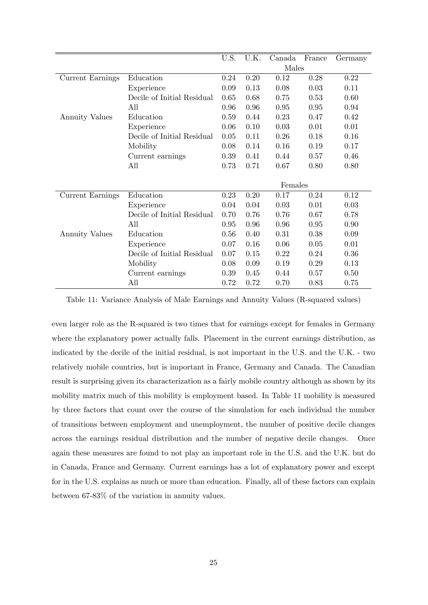|                         |                            | U.S. | U.K. | Canada  | France | Germany |
|-------------------------|----------------------------|------|------|---------|--------|---------|
|                         |                            |      |      | Males   |        |         |
| <b>Current Earnings</b> | Education                  | 0.24 | 0.20 | 0.12    | 0.28   | 0.22    |
|                         | Experience                 | 0.09 | 0.13 | 0.08    | 0.03   | 0.11    |
|                         | Decile of Initial Residual | 0.65 | 0.68 | 0.75    | 0.53   | 0.60    |
|                         | All                        | 0.96 | 0.96 | 0.95    | 0.95   | 0.94    |
| <b>Annuity Values</b>   | Education                  | 0.59 | 0.44 | 0.23    | 0.47   | 0.42    |
|                         | Experience                 | 0.06 | 0.10 | 0.03    | 0.01   | 0.01    |
|                         | Decile of Initial Residual | 0.05 | 0.11 | 0.26    | 0.18   | 0.16    |
|                         | Mobility                   | 0.08 | 0.14 | 0.16    | 0.19   | 0.17    |
|                         | Current earnings           | 0.39 | 0.41 | 0.44    | 0.57   | 0.46    |
|                         | All                        | 0.73 | 0.71 | 0.67    | 0.80   | 0.80    |
|                         |                            |      |      |         |        |         |
|                         |                            |      |      | Females |        |         |
| Current Earnings        | Education                  | 0.23 | 0.20 | 0.17    | 0.24   | 0.12    |
|                         | Experience                 | 0.04 | 0.04 | 0.03    | 0.01   | 0.03    |
|                         | Decile of Initial Residual | 0.70 | 0.76 | 0.76    | 0.67   | 0.78    |
|                         | All                        | 0.95 | 0.96 | 0.96    | 0.95   | 0.90    |
| <b>Annuity Values</b>   | Education                  | 0.56 | 0.40 | 0.31    | 0.38   | 0.09    |
|                         | Experience                 | 0.07 | 0.16 | 0.06    | 0.05   | 0.01    |
|                         | Decile of Initial Residual | 0.07 | 0.15 | 0.22    | 0.24   | 0.36    |
|                         | Mobility                   | 0.08 | 0.09 | 0.19    | 0.29   | 0.13    |
|                         | Current earnings           | 0.39 | 0.45 | 0.44    | 0.57   | 0.50    |
|                         | All                        | 0.72 | 0.72 | 0.70    | 0.83   | 0.75    |

Table 11: Variance Analysis of Male Earnings and Annuity Values (R-squared values)

even larger role as the R-squared is two times that for earnings except for females in Germany where the explanatory power actually falls. Placement in the current earnings distribution, as indicated by the decile of the initial residual, is not important in the U.S. and the U.K. - two relatively mobile countries, but is important in France, Germany and Canada. The Canadian result is surprising given its characterization as a fairly mobile country although as shown by its mobility matrix much of this mobility is employment based. In Table 11 mobility is measured by three factors that count over the course of the simulation for each individual the number of transitions between employment and unemployment, the number of positive decile changes across the earnings residual distribution and the number of negative decile changes. Once again these measures are found to not play an important role in the U.S. and the U.K. but do in Canada, France and Germany. Current earnings has a lot of explanatory power and except for in the U.S. explains as much or more than education. Finally, all of these factors can explain between 67-83% of the variation in annuity values.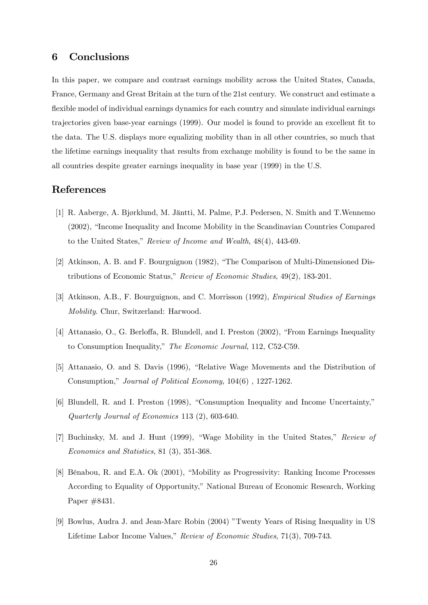## 6 Conclusions

In this paper, we compare and contrast earnings mobility across the United States, Canada, France, Germany and Great Britain at the turn of the 21st century. We construct and estimate a flexible model of individual earnings dynamics for each country and simulate individual earnings trajectories given base-year earnings (1999). Our model is found to provide an excellent fit to the data. The U.S. displays more equalizing mobility than in all other countries, so much that the lifetime earnings inequality that results from exchange mobility is found to be the same in all countries despite greater earnings inequality in base year (1999) in the U.S.

# References

- [1] R. Aaberge, A. Bjørklund, M. Jäntti, M. Palme, P.J. Pedersen, N. Smith and T. Wennemo  $(2002)$ , "Income Inequality and Income Mobility in the Scandinavian Countries Compared to the United States," Review of Income and Wealth,  $48(4)$ ,  $443-69$ .
- [2] Atkinson, A. B. and F. Bourguignon  $(1982)$ , "The Comparison of Multi-Dimensioned Distributions of Economic Status," Review of Economic Studies,  $49(2)$ , 183-201.
- [3] Atkinson, A.B., F. Bourguignon, and C. Morrisson (1992), Empirical Studies of Earnings Mobility. Chur, Switzerland: Harwood.
- [4] Attanasio, O., G. Berloffa, R. Blundell, and I. Preston (2002), "From Earnings Inequality to Consumption Inequality," The Economic Journal, 112, C52-C59.
- [5] Attanasio, O. and S. Davis (1996), "Relative Wage Movements and the Distribution of Consumption," Journal of Political Economy, 104(6), 1227-1262.
- [6] Blundell, R. and I. Preston (1998), "Consumption Inequality and Income Uncertainty," Quarterly Journal of Economics 113 (2), 603-640.
- [7] Buchinsky, M. and J. Hunt (1999), "Wage Mobility in the United States," Review of Economics and Statistics, 81 (3), 351-368.
- [8] Bénabou, R. and E.A. Ok (2001), "Mobility as Progressivity: Ranking Income Processes According to Equality of Opportunity," National Bureau of Economic Research, Working Paper #8431.
- [9] Bowlus, Audra J. and Jean-Marc Robin (2004) "Twenty Years of Rising Inequality in US Lifetime Labor Income Values," Review of Economic Studies, 71(3), 709-743.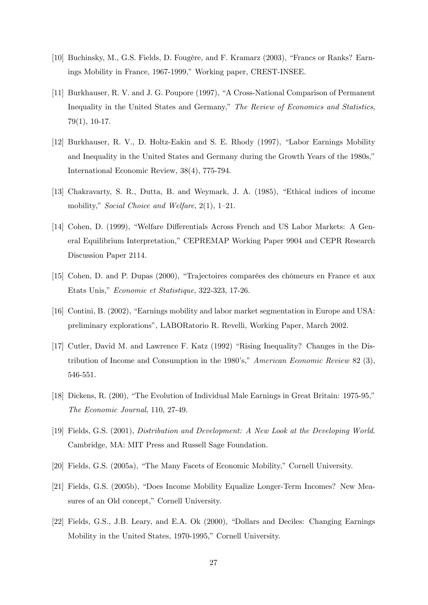- [10] Buchinsky, M., G.S. Fields, D. Fougère, and F. Kramarz (2003), "Francs or Ranks? Earnings Mobility in France, 1967-1999," Working paper, CREST-INSEE.
- [11] Burkhauser, R. V. and J. G. Poupore (1997), "A Cross-National Comparison of Permanent Inequality in the United States and Germany," The Review of Economics and Statistics, 79(1), 10-17.
- [12] Burkhauser, R. V., D. Holtz-Eakin and S. E. Rhody (1997), "Labor Earnings Mobility and Inequality in the United States and Germany during the Growth Years of the 1980s," International Economic Review, 38(4), 775-794.
- [13] Chakravarty, S. R., Dutta, B. and Weymark, J. A. (1985), "Ethical indices of income mobility," Social Choice and Welfare,  $2(1)$ ,  $1-21$ .
- [14] Cohen, D. (1999), "Welfare Differentials Across French and US Labor Markets: A General Equilibrium Interpretation," CEPREMAP Working Paper 9904 and CEPR Research Discussion Paper 2114.
- [15] Cohen, D. and P. Dupas (2000), "Trajectoires comparées des chômeurs en France et aux Etats Unis," Economie et Statistique, 322-323, 17-26.
- [16] Contini, B. (2002), "Earnings mobility and labor market segmentation in Europe and USA: preliminary explorationsî, LABORatorio R. Revelli, Working Paper, March 2002.
- [17] Cutler, David M. and Lawrence F. Katz (1992) "Rising Inequality? Changes in the Distribution of Income and Consumption in the 1980's," American Economic Review 82 (3), 546-551.
- [18] Dickens, R. (200), "The Evolution of Individual Male Earnings in Great Britain: 1975-95," The Economic Journal, 110, 27-49.
- [19] Fields, G.S. (2001), Distribution and Development: A New Look at the Developing World. Cambridge, MA: MIT Press and Russell Sage Foundation.
- [20] Fields, G.S. (2005a), "The Many Facets of Economic Mobility," Cornell University.
- [21] Fields, G.S. (2005b), "Does Income Mobility Equalize Longer-Term Incomes? New Measures of an Old concept," Cornell University.
- [22] Fields, G.S., J.B. Leary, and E.A. Ok (2000), "Dollars and Deciles: Changing Earnings Mobility in the United States, 1970-1995," Cornell University.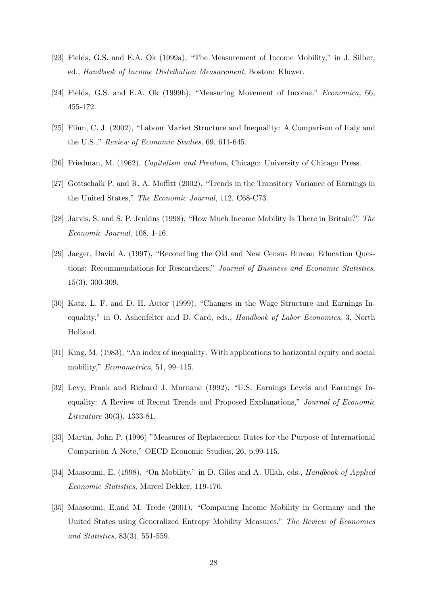- [23] Fields, G.S. and E.A. Ok  $(1999a)$ , "The Measurement of Income Mobility," in J. Silber, ed., Handbook of Income Distribution Measurement, Boston: Kluwer.
- $[24]$  Fields, G.S. and E.A. Ok (1999b), "Measuring Movement of Income," *Economica*, 66, 455-472.
- [25] Flinn, C. J. (2002), "Labour Market Structure and Inequality: A Comparison of Italy and the U.S.," Review of Economic Studies,  $69, 611-645$ .
- [26] Friedman, M. (1962), Capitalism and Freedom, Chicago: University of Chicago Press.
- [27] Gottschalk P. and R. A. Moffitt  $(2002)$ , "Trends in the Transitory Variance of Earnings in the United States," The Economic Journal, 112, C68-C73.
- [28] Jarvis, S. and S. P. Jenkins (1998), "How Much Income Mobility Is There in Britain?" The Economic Journal, 108, 1-16.
- [29] Jaeger, David A. (1997), "Reconciling the Old and New Census Bureau Education Questions: Recommendations for Researchers," Journal of Business and Economic Statistics, 15(3), 300-309.
- [30] Katz, L. F. and D. H. Autor (1999), "Changes in the Wage Structure and Earnings Inequality," in O. Ashenfelter and D. Card, eds., Handbook of Labor Economics, 3, North Holland.
- [31] King, M. (1983), "An index of inequality: With applications to horizontal equity and social mobility," Econometrica, 51, 99–115.
- [32] Levy, Frank and Richard J. Murnane (1992), "U.S. Earnings Levels and Earnings Inequality: A Review of Recent Trends and Proposed Explanations," Journal of Economic Literature 30(3), 1333-81.
- [33] Martin, John P. (1996) "Measures of Replacement Rates for the Purpose of International Comparison A Note," OECD Economic Studies, 26, p.99-115.
- [34] Maasoumi, E. (1998), "On Mobility," in D. Giles and A. Ullah, eds., *Handbook of Applied* Economic Statistics, Marcel Dekker, 119-176.
- [35] Maasoumi, E.and M. Trede (2001), "Comparing Income Mobility in Germany and the United States using Generalized Entropy Mobility Measures," The Review of Economics and Statistics, 83(3), 551-559.